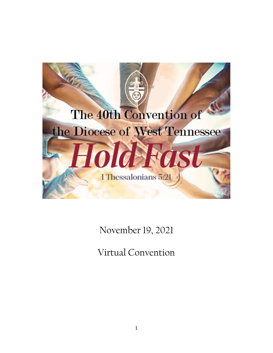

November 19, 2021

Virtual Convention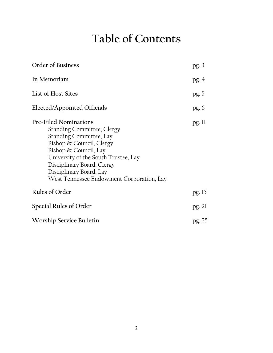# **Table of Contents**

| <b>Order of Business</b>                                                                                                                                                                                                                                                                               | pg.3   |
|--------------------------------------------------------------------------------------------------------------------------------------------------------------------------------------------------------------------------------------------------------------------------------------------------------|--------|
| In Memoriam                                                                                                                                                                                                                                                                                            | pg.4   |
| List of Host Sites                                                                                                                                                                                                                                                                                     | pg.5   |
| Elected/Appointed Officials                                                                                                                                                                                                                                                                            | pg.6   |
| <b>Pre-Filed Nominations</b><br><b>Standing Committee, Clergy</b><br><b>Standing Committee, Lay</b><br>Bishop & Council, Clergy<br>Bishop & Council, Lay<br>University of the South Trustee, Lay<br>Disciplinary Board, Clergy<br>Disciplinary Board, Lay<br>West Tennessee Endowment Corporation, Lay | pg. 11 |
| Rules of Order                                                                                                                                                                                                                                                                                         | pg. 15 |
| Special Rules of Order                                                                                                                                                                                                                                                                                 | pg. 21 |
| <b>Worship Service Bulletin</b>                                                                                                                                                                                                                                                                        | pg. 25 |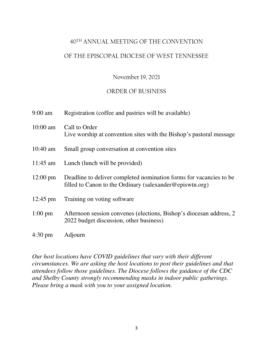# 40TH ANNUAL MEETING OF THE CONVENTION

# OF THE EPISCOPAL DIOCESE OF WEST TENNESSEE

# November 19, 2021

# ORDER OF BUSINESS

| $9:00 \text{ am}$  | Registration (coffee and pastries will be available)                                                                            |
|--------------------|---------------------------------------------------------------------------------------------------------------------------------|
| $10:00$ am         | Call to Order<br>Live worship at convention sites with the Bishop's pastoral message                                            |
| $10:40$ am         | Small group conversation at convention sites                                                                                    |
| 11:45 am           | Lunch (lunch will be provided)                                                                                                  |
| $12:00 \text{ pm}$ | Deadline to deliver completed nomination forms for vacancies to be.<br>filled to Canon to the Ordinary (salexander@episwtn.org) |
| $12:45 \text{ pm}$ | Training on voting software                                                                                                     |
| $1:00 \text{ pm}$  | Afternoon session convenes (elections, Bishop's diocesan address, 2)<br>2022 budget discussion, other business)                 |
| $4:30 \text{ pm}$  | Adjourn                                                                                                                         |

*Our host locations have COVID guidelines that vary with their different circumstances. We are asking the host locations to post their guidelines and that attendees follow those guidelines. The Diocese follows the guidance of the CDC and Shelby County strongly recommending masks in indoor public gatherings. Please bring a mask with you to your assigned location.*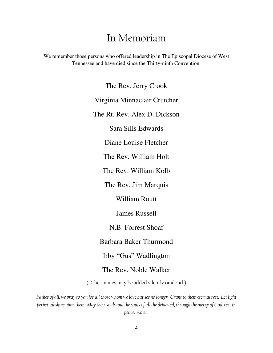# In Memoriam

We remember those persons who offered leadership in The Episcopal Diocese of West Tennessee and have died since the Thirty-ninth Convention.

> The Rev. Jerry Crook Virginia Minnaclair Crutcher The Rt. Rev. Alex D. Dickson Sara Sills Edwards Diane Louise Fletcher The Rev. William Holt The Rev. William Kolb The Rev. Jim Marquis William Routt James Russell N.B. Forrest Shoaf Barbara Baker Thurmond Irby "Gus" Wadlington The Rev. Noble Walker (Other names may be added silently or aloud.)

*Father of all, we pray to you for all those whom we love but see no longer. Grant to them eternal rest. Let light perpetual shine upon them. May their souls and the souls of all the departed, through the mercy of God, rest in peace. Amen.*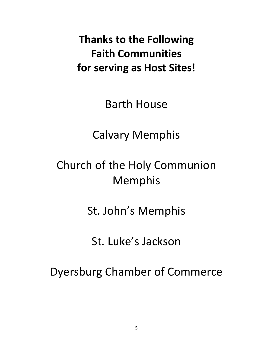**Thanks to the Following Faith Communities for serving as Host Sites!** 

Barth House

Calvary Memphis

# Church of the Holy Communion Memphis

# St. John's Memphis

St. Luke's Jackson

Dyersburg Chamber of Commerce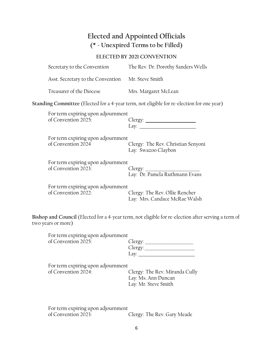# **Elected and Appointed Officials (\* - Unexpired Terms to be Filled)**

## **ELECTED BY 2021 CONVENTION**

| Secretary to the Convention                               | The Rev. Dr. Dorothy Sanders Wells                                                        |
|-----------------------------------------------------------|-------------------------------------------------------------------------------------------|
| Asst. Secretary to the Convention Mr. Steve Smith         |                                                                                           |
| Treasurer of the Diocese                                  | Mrs. Margaret McLean                                                                      |
|                                                           | Standing Committee (Elected for a 4-year term, not eligible for re-election for one year) |
| For term expiring upon adjournment<br>of Convention 2025: |                                                                                           |
| For term expiring upon adjournment<br>of Convention 2024  | Clergy: The Rev. Christian Senyoni<br>Lay: Swazoo Claybon                                 |
| For term expiring upon adjournment<br>of Convention 2023: | Lay: Dr. Pamela Ruthmann Evans                                                            |
| For term expiring upon adjournment<br>of Convention 2022: | Clergy: The Rev. Ollie Rencher<br>Lay: Mrs. Candace McRae Walsh                           |
|                                                           |                                                                                           |

**Bishop and Council** (Elected for a 4-year term, not eligible for re-election after serving a term of two years or more)

| For term expiring upon adjournment |         |
|------------------------------------|---------|
| of Convention 2025:                | Clergy: |
|                                    | Clergy: |
|                                    |         |

| For term expiring upon adjournment |    |
|------------------------------------|----|
| of Convention 2024:                | C1 |

lergy: The Rev. Miranda Cully Lay: Ms. Ann Duncan Lay: Mr. Steve Smith

For term expiring upon adjournment<br>of Convention 2023: Clergy: The Rev. Gary Meade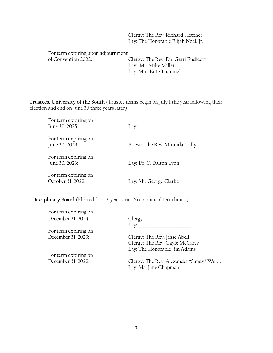Clergy: The Rev. Richard Fletcher Lay: The Honorable Elijah Noel, Jr.

 For term expiring upon adjournment of Convention 2022: Clergy: The Rev. Dn. Gerri Endicott

 Lay: Mr. Mike Miller Lay: Mrs. Kate Trammell

 **Trustees, University of the South** (Trustee terms begin on July 1 the year following their election and end on June 30 three years later)

For term expiring on<br>June 30, 2025:

 $Lay:$ 

For term expiring on

June 30, 2024:Priest**:** The Rev. Miranda Cully

 For term expiring on June 30, 2023:Lay**:** Dr. C. Dalton Lyon

For term expiring on<br>October 31, 2022:

Lay: Mr. George Clarke

**Disciplinary Board** (Elected for a 3-year term. No canonical term limits)

For term expiring on

For term expiring on<br>December 31, 2023:

For term expiring on

December 31, 2024: Clergy: \_\_\_\_\_\_\_\_\_\_\_\_\_\_\_\_\_\_\_\_\_\_\_ Lay:  $\Box$ 

> Clergy: The Rev. Jesse Abell Clergy: The Rev. Gayle McCarty Lay: The Honorable Jim Adams

 December 31, 2022: Clergy: The Rev. Alexander "Sandy" Webb Lay: Ms. Jane Chapman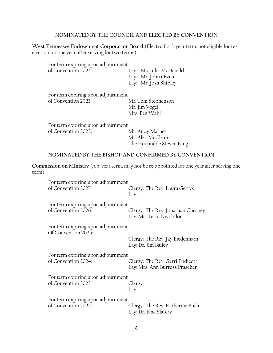#### **NOMINATED BY THE COUNCIL AND ELECTED BY CONVENTION**

**West Tennessee Endowment Corporation Board** (Elected for 3-year term, not eligible for reelection for one year after serving for two terms)

For term expiring upon adjournment<br>of Convention 2024: Lay: Ms. Julia McDonald Lay: Mr. John Owen Lay: Mr. Josh Shipley

For term expiring upon adjournment<br>of Convention 2023: Mr. Tom Stephenson Mr. Jim Vogel Mrs. Peg Wahl

 For term expiring upon adjournment of Convention 2022: Mr. Andy Mathes Mr. Alec McClean The Honorable Steven King

# **NOMINATED BY THE BISHOP AND CONFIRMED BY CONVENTION**

**Commission on Ministry** (A 6-year term, may not be re-appointed for one year after serving one term)

For term expiring upon adjournment<br>of Convention 2027: Clergy: The Rev. Laura Gettys Lay:  $\Box$  For term expiring upon adjournment of Convention 2026: Clergy: The Rev. Jonathan Chesney Lay: Ms. Terra Nwobilor For term expiring upon adjournment Of Convention 2025: Clergy: The Rev. Jay Biedenharn Lay: Dr. Jim Bailey For term expiring upon adjournment<br>of Convention 2024 Clergy: The Rev. Gerri Endicott Lay: Mrs. Ann Burruss Prascher For term expiring upon adjournment<br>of Convention 2023: of Convention 2023: Clergy: \_\_\_\_\_\_\_\_\_\_\_\_\_\_\_\_\_\_\_\_\_\_\_\_\_\_\_\_ Lay:  $\Box$ For term expiring upon adjournment of Convention 2022: Clergy: The Rev. Katherine Bush Lay: Dr. Jane Slatery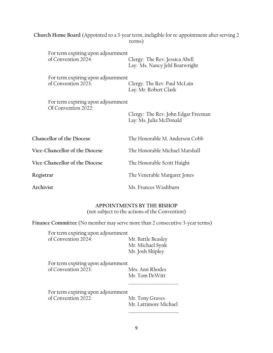|                                                           | Church Home Board (Appointed to a 3-year term, ineligible for re-appointment after serving 2<br>terms) |
|-----------------------------------------------------------|--------------------------------------------------------------------------------------------------------|
| For term expiring upon adjournment<br>of Convention 2024: | Clergy: The Rev. Jessica Abell<br>Lay: Ms. Nancy Jehl Boatwright                                       |
| For term expiring upon adjournment<br>of Convention 2023: | Clergy: The Rev. Paul McLain<br>Lay: Mr. Robert Clark                                                  |
| For term expiring upon adjournment<br>Of Convention 2022: | Clergy: The Rev. John Edgar Freeman<br>Lay: Ms. Julia McDonald                                         |
| <b>Chancellor of the Diocese</b>                          | The Honorable M. Anderson Cobb                                                                         |
| Vice-Chancellor of the Diocese                            | The Honorable Michael Marshall                                                                         |
| Vice-Chancellor of the Diocese                            | The Honorable Scott Haight                                                                             |
| Registrar                                                 | The Venerable Margaret Jones                                                                           |
| Archivist                                                 | Ms. Frances Washburn                                                                                   |

#### **APPOINTMENTS BY THE BISHOP**

(not subject to the actions of the Convention)

**Finance Committee** (No member may serve more than 2 consecutive 3-year terms)

For term expiring upon adjournment<br>of Convention 2024: Mr. Battle Beasley Mr. Michael Synk Mr. Josh Shipley

For term expiring upon adjournment<br>of Convention 2023: Mrs. Ann Rhodes of Convention  $2023$ : Mr. Tom DeWitt

For term expiring upon adjournment of Convention 2022: Mr. Tony Graves Mr. Lattimore Michael

 $\frac{1}{2}$  , and the set of the set of the set of the set of the set of the set of the set of the set of the set of the set of the set of the set of the set of the set of the set of the set of the set of the set of the set

 $\mathcal{L}_\text{max}$  and  $\mathcal{L}_\text{max}$  and  $\mathcal{L}_\text{max}$  and  $\mathcal{L}_\text{max}$  and  $\mathcal{L}_\text{max}$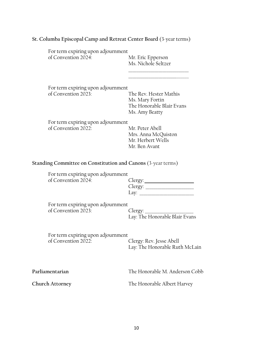#### **St. Columba Episcopal Camp and Retreat Center Board** (3-year terms)

| For term expiring upon adjournment |                           |
|------------------------------------|---------------------------|
| of Convention 2024:                | Mr. Eric Epperson         |
|                                    | Ms. Nichole Seltzer       |
|                                    |                           |
| For term expiring upon adjournment |                           |
| of Convention 2023:                | The Rev. Hester Mathis    |
|                                    | Ms. Mary Fortin           |
|                                    | The Honorable Blair Evans |
|                                    | Ms. Amy Beatty            |
| For term expiring upon adjournment |                           |
| of Convention 2022:                | Mr. Peter Abell           |
|                                    | Mrs. Anna McQuiston       |

**Standing Committee on Constitution and Canons** (3-year terms)

| For term expiring upon adjournment |         |  |
|------------------------------------|---------|--|
| of Convention 2024:                | Clergy: |  |
|                                    | Clergy: |  |
|                                    | Lav:    |  |
|                                    |         |  |

 Mr. Herbert Wells Mr. Ben Avant

| For term expiring upon adjournment |                                |
|------------------------------------|--------------------------------|
| of Convention 2023 <sup>.</sup>    | Clergy:                        |
|                                    | Lav: The Honorable Blair Evans |

For term expiring upon adjournment<br>of Convention 2022: Clergy: Rev. Jesse Abell Lay: The Honorable Ruth McLain

| Parliamentarian | The Honorable M. Anderson Cobb |
|-----------------|--------------------------------|
|                 |                                |

**Church Attorney** The Honorable Albert Harvey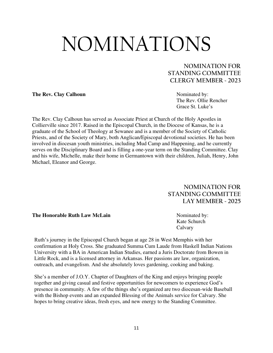# NOMINATIONS

# **NOMINATION FOR STANDING COMMITTEE CLERGY MEMBER ~ 2023**

**The Rev. Clay Calhoun** Nominated by:

 The Rev. Ollie Rencher Grace St. Luke's

The Rev. Clay Calhoun has served as Associate Priest at Church of the Holy Apostles in Collierville since 2017. Raised in the Episcopal Church, in the Diocese of Kansas, he is a graduate of the School of Theology at Sewanee and is a member of the Society of Catholic Priests, and of the Society of Mary, both Anglican/Episcopal devotional societies. He has been involved in diocesan youth ministries, including Mud Camp and Happening, and he currently serves on the Disciplinary Board and is filling a one-year term on the Standing Committee. Clay and his wife, Michelle, make their home in Germantown with their children, Juliah, Henry, John Michael, Eleanor and George.

# **NOMINATION FOR STANDING COMMITTEE LAY MEMBER ~ 2025**

| The Honorable Ruth Law McLain |  |
|-------------------------------|--|
|-------------------------------|--|

**Nominated by:**  Kate Schurch **Calvary** 

Ruth's journey in the Episcopal Church began at age 28 in West Memphis with her confirmation at Holy Cross. She graduated Summa Cum Laude from Haskell Indian Nations University with a BA in American Indian Studies, earned a Juris Doctorate from Bowen in Little Rock, and is a licensed attorney in Arkansas. Her passions are law, organization, outreach, and evangelism. And she absolutely loves gardening, cooking and baking.

She's a member of J.O.Y. Chapter of Daughters of the King and enjoys bringing people together and giving casual and festive opportunities for newcomers to experience God's presence in community. A few of the things she's organized are two diocesan-wide Baseball with the Bishop events and an expanded Blessing of the Animals service for Calvary. She hopes to bring creative ideas, fresh eyes, and new energy to the Standing Committee.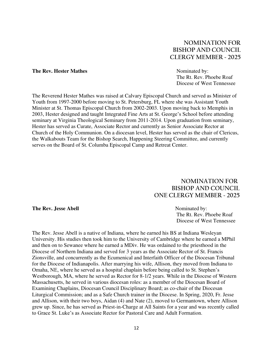# **NOMINATION FOR BISHOP AND COUNCIL CLERGY MEMBER ~ 2025**

#### **The Rev. Hester Mathes** Nominated by:

 The Rt. Rev. Phoebe Roaf Diocese of West Tennessee

The Reverend Hester Mathes was raised at Calvary Episcopal Church and served as Minister of Youth from 1997-2000 before moving to St. Petersburg, FL where she was Assistant Youth Minister at St. Thomas Episcopal Church from 2002-2003. Upon moving back to Memphis in 2003, Hester designed and taught Integrated Fine Arts at St. George's School before attending seminary at Virginia Theological Seminary from 2011-2014. Upon graduation from seminary, Hester has served as Curate, Associate Rector and currently as Senior Associate Rector at Church of the Holy Communion. On a diocesan level, Hester has served as the chair of Clericus, the Walkabouts Team for the Bishop Search, Happening Steering Committee, and currently serves on the Board of St. Columba Episcopal Camp and Retreat Center.

# **NOMINATION FOR BISHOP AND COUNCIL ONE CLERGY MEMBER ~ 2025**

**The Rev. Jesse Abell**  Nominated by:

 The Rt. Rev. Phoebe Roaf Diocese of West Tennessee

The Rev. Jesse Abell is a native of Indiana, where he earned his BS at Indiana Wesleyan University. His studies then took him to the University of Cambridge where he earned a MPhil and then on to Sewanee where he earned a MDiv. He was ordained to the priesthood in the Diocese of Northern Indiana and served for 3 years as the Associate Rector of St. Francis Zionsville, and concurrently as the Ecumenical and Interfaith Officer of the Diocesan Tribunal for the Diocese of Indianapolis. After marrying his wife, Allison, they moved from Indiana to Omaha, NE, where he served as a hospital chaplain before being called to St. Stephen's Westborough, MA, where he served as Rector for 8-1/2 years. While in the Diocese of Western Massachusetts, he served in various diocesan roles: as a member of the Diocesan Board of Examining Chaplains, Diocesan Council Disciplinary Board; as co-chair of the Diocesan Liturgical Commission; and as a Safe Church trainer in the Diocese. In Spring, 2020, Fr. Jesse and Allison, with their two boys, Aidan (4) and Nate (2), moved to Germantown, where Allison grew up. Since, he has served as Priest-in-Charge at All Saints for a year and was recently called to Grace St. Luke's as Associate Rector for Pastoral Care and Adult Formation.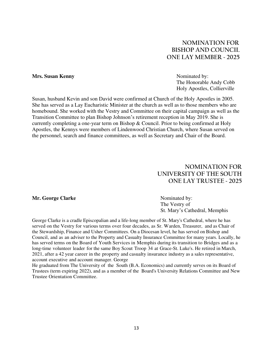#### 13

# **NOMINATION FOR BISHOP AND COUNCIL ONE LAY MEMBER ~ 2025**

 The Honorable Andy Cobb Holy Apostles, Collierville

Susan, husband Kevin and son David were confirmed at Church of the Holy Apostles in 2005. She has served as a Lay Eucharistic Minister at the church as well as to those members who are homebound. She worked with the Vestry and Committee on their capital campaign as well as the Transition Committee to plan Bishop Johnson's retirement reception in May 2019. She is currently completing a one-year term on Bishop & Council. Prior to being confirmed at Holy Apostles, the Kennys were members of Lindenwood Christian Church, where Susan served on the personnel, search and finance committees, as well as Secretary and Chair of the Board.

# **NOMINATION FOR UNIVERSITY OF THE SOUTH ONE LAY TRUSTEE ~ 2025**

#### **Mr. George Clarke Nominated by:**

 The Vestry of St. Mary's Cathedral, Memphis

George Clarke is a cradle Episcopalian and a life-long member of St. Mary's Cathedral, where he has served on the Vestry for various terms over four decades, as Sr. Warden, Treasurer, and as Chair of the Stewardship, Finance and Usher Committees. On a Diocesan level, he has served on Bishop and Council, and as an adviser to the Property and Casualty Insurance Committee for many years. Locally, he has served terms on the Board of Youth Services in Memphis during its transition to Bridges and as a long-time volunteer leader for the same Boy Scout Troop 34 at Grace-St. Luke's. He retired in March, 2021, after a 42 year career in the property and casualty insurance industry as a sales representative, account executive and account manager. George

He graduated from The University of the South (B.A. Economics) and currently serves on its Board of Trustees (term expiring 2022), and as a member of the Board's University Relations Committee and New Trustee Orientation Committee.

#### **Mrs. Susan Kenny Nominated by: Nominated by:**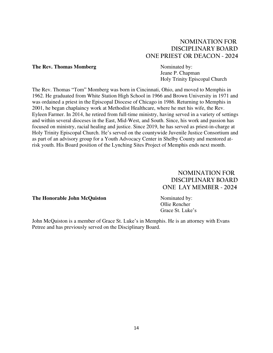# **NOMINATION FOR DISCIPLINARY BOARD ONE PRIEST OR DEACON ~ 2024**

#### **The Rev. Thomas Momberg** Nominated by:

 Jeane P. Chapman Holy Trinity Episcopal Church

The Rev. Thomas "Tom" Momberg was born in Cincinnati, Ohio, and moved to Memphis in 1962. He graduated from White Station High School in 1966 and Brown University in 1971 and was ordained a priest in the Episcopal Diocese of Chicago in 1986. Returning to Memphis in 2001, he began chaplaincy work at Methodist Healthcare, where he met his wife, the Rev. Eyleen Farmer. In 2014, he retired from full-time ministry, having served in a variety of settings and within several dioceses in the East, Mid-West, and South. Since, his work and passion has focused on ministry, racial healing and justice. Since 2019, he has served as priest-in-charge at Holy Trinity Episcopal Church. He's served on the countywide Juvenile Justice Consortium and as part of an advisory group for a Youth Advocacy Center in Shelby County and mentored atrisk youth. His Board position of the Lynching Sites Project of Memphis ends next month.

> **NOMINATION FOR DISCIPLINARY BOARD ONE LAY MEMBER ~ 2024**

**The Honorable John McQuiston** Moninated by:

 Ollie Rencher Grace St. Luke's

John McQuiston is a member of Grace St. Luke's in Memphis. He is an attorney with Evans Petree and has previously served on the Disciplinary Board.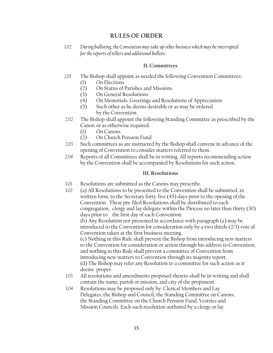## **RULES OF ORDER**

*1.02 During balloting, the Convention may take up other business which may be interrupted for the reports of tellers and additional ballots.*

#### **II. Committees**

- *2.01* The Bishop shall appoint as needed the following Convention Committees:
	- (1) On Elections
	- (2) On Status of Parishes and Missions
	- (3) On General Resolutions
	- (4) On Memorials, Greetings and Resolutions of Appreciation
	- (5) Such other as he deems desirable or as may be ordered by the Convention
- *2.02* The Bishop shall appoint the following Standing Committee as prescribed by the Canon or as otherwise required:
	- (1) On Canons
	- (2) On Church Pension Fund
- *2.03* Such committees as are instructed by the Bishop shall convene in advance of the opening of Convention to consider matters referred to them.
- *2.04* Reports of all Committees shall be in writing. All reports recommending action by the Convention shall be accompanied by Resolutions for such action.

#### **III. Resolutions**

- *3.01* Resolutions are submitted as the Canons may prescribe.
- *3.02* (a) All Resolutions to be presented to the Convention shall be submitted, in written form, to the Secretary forty-five (45) days prior to the opening of the Convention. These pre-filed Resolutions shall be distributed to each congregation, clergy and lay delegate within the Diocese no later than thirty (30) days prior to the first day of each Convention.

(b) Any Resolution not presented in accordance with paragraph (a) may be introduced to the Convention for consideration only by a two thirds (2/3) vote of Convention taken at the first business meeting.

 (c) Nothing in this Rule shall prevent the Bishop from introducing new matters to the Convention for consideration or action through his address to Convention; and nothing in this Rule shall prevent a committee of Convention from introducing new matters to Convention through its majority report. (d) The Bishop may refer any Resolution to a committee for such action as it deems proper.

- *3.03* All resolutions and amendments proposed thereto shall be in writing and shall contain the name, parish or mission, and city of the proponent.
- *3.04* Resolutions may be proposed only by: Clerical Members and Lay Delegates, the Bishop and Council, the Standing Committee on Canons, the Standing Committee on the Church Pension Fund, Vestries and Mission Councils. Each such resolution authored by a clergy or lay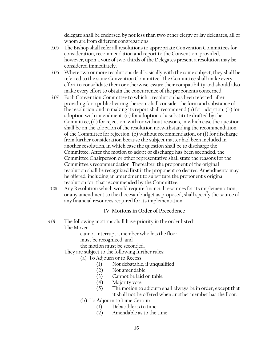delegate shall be endorsed by not less than two other clergy or lay delegates, all of whom are from different congregations.

- *3.05* The Bishop shall refer all resolutions to appropriate Convention Committees for consideration, recommendation and report to the Convention, provided, however, upon a vote of two-thirds of the Delegates present a resolution may be considered immediately.
- *3.06* Where two or more resolutions deal basically with the same subject, they shall be referred to the same Convention Committee. The Committee shall make every effort to consolidate them or otherwise assure their compatibility and should also make every effort to obtain the concurrence of the proponents concerned.
- *3.07* Each Convention Committee to which a resolution has been referred, after providing for a public hearing thereon, shall consider the form and substance of the resolution and in making its report shall recommend (a) for adoption, (b) for adoption with amendment, (c) for adoption of a substitute drafted by the Committee, (d) for rejection, with or without reasons, in which case the question shall be on the adoption of the resolution notwithstanding the recommendation of the Committee for rejection, (e) without recommendation, or (f) for discharge from further consideration because the subject matter had been included in another resolution, in which case the question shall be to discharge the Committee. After the motion to adopt or discharge has been seconded, the Committee Chairperson or other representative shall state the reasons for the Committee's recommendation. Thereafter, the proponent of the original resolution shall be recognized first if the proponent so desires. Amendments may be offered, including an amendment to substitute the proponent's original resolution for that recommended by the Committee.
- *3.08* Any Resolution which would require financial resources for its implementation, or any amendment to the diocesan budget as proposed, shall specify the source of any financial resources required for its implementation.

#### **IV. Motions in Order of Precedence**

*4.01* The following motions shall have priority in the order listed: The Mover

cannot interrupt a member who has the floor must be recognized, and

the motion must be seconded.

They are subject to the following further rules:

- (a) To Adjourn or to Recess
	- (1) Not debatable, if unqualified
	- (2) Not amendable
	- (3) Cannot be laid on table
	- (4) Majority vote
	- (5) The motion to adjourn shall always be in order, except that it shall not be offered when another member has the floor.
- (b) To Adjourn to Time Certain
	- (1) Debatable as to time
	- (2) Amendable as to the time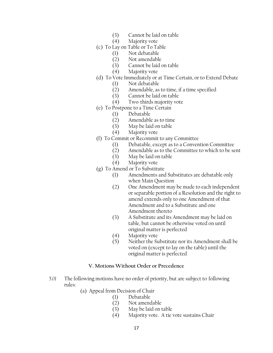- (3) Cannot be laid on table
- (4) Majority vote
- (c) To Lay on Table or To Table
	- (1) Not debatable
	- (2) Not amendable
	- (3) Cannot be laid on table
	- (4) Majority vote
- (d) To Vote Immediately or at Time Certain, or to Extend Debate
	- (1) Not debatable
	- (2) Amendable, as to time, if a time specified
	- (3) Cannot be laid on table
	- (4) Two-thirds majority vote
- (e) To Postpone to a Time Certain
	- (1) Debatable
	- (2) Amendable as to time
	- (3) May be laid on table
	- (4) Majority vote
- (f) To Commit or Recommit to any Committee
	- (1) Debatable, except as to a Convention Committee
	- (2) Amendable as to the Committee to which to be sent
	- (3) May be laid on table
	- (4) Majority vote
- (g) To Amend or To Substitute
	- (1) Amendments and Substitutes are debatable only when Main Question
	- (2) One Amendment may be made to each independent or separable portion of a Resolution and the right to amend extends only to one Amendment of that Amendment and to a Substitute and one Amendment thereto
	- (3) A Substitute and its Amendment may be laid on table, but cannot be otherwise voted on until original matter is perfected
	- (4) Majority vote
	- (5) Neither the Substitute nor its Amendment shall be voted on (except to lay on the table) until the original matter is perfected

#### **V. Motions Without Order or Precedence**

- *5.01* The following motions have no order of priority, but are subject to following rules:
	- (a) Appeal from Decision of Chair
		- (1) Debatable
		- (2) Not amendable
		- (3) May be laid on table
		- (4) Majority vote. A tie vote sustains Chair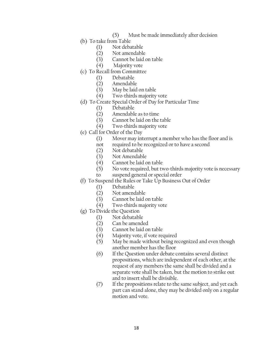- (5) Must be made immediately after decision
- (b) To take from Table
	- (1) Not debatable
	- (2) Not amendable
	- (3) Cannot be laid on table
	- (4) Majority vote
- (c) To Recall from Committee
	- (1) Debatable
	- (2) Amendable
	- (3) May be laid on table
	- (4) Two-thirds majority vote
- (d) To Create Special Order of Day for Particular Time
	- (1) Debatable
	- (2) Amendable as to time
	- (3) Cannot be laid on the table
	- (4) Two-thirds majority vote
- (e) Call for Order of the Day
	- (1) Mover may interrupt a member who has the floor and is
	- not required to be recognized or to have a second
	- (2) Not debatable
	- (3) Not Amendable
	- (4) Cannot be laid on table
	- (5) No vote required, but two-thirds majority vote is necessary
	- to suspend general or special order
- (f) To Suspend the Rules or Take Up Business Out of Order
	- (1) Debatable
	- (2) Not amendable
	- (3) Cannot be laid on table
	- (4) Two-thirds majority vote
- (g) To Divide the Question
	- (1) Not debatable<br>(2) Can be amende
	- Can be amended
	- (3) Cannot be laid on table
	- (4) Majority vote, if vote required
	- (5) May be made without being recognized and even though another member has the floor
	- (6) If the Question under debate contains several distinct propositions, which are independent of each other, at the request of any members the same shall be divided and a separate vote shall be taken, but the motion to strike out and to insert shall be divisible.
	- (7) If the propositions relate to the same subject, and yet each part can stand alone, they may be divided only on a regular motion and vote.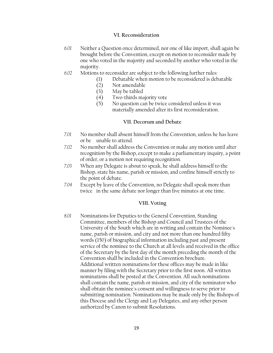#### **VI. Reconsideration**

- *6.01* Neither a Question once determined, nor one of like import, shall again be brought before the Convention, except on motion to reconsider made by one who voted in the majority and seconded by another who voted in the majority.
- *6.02* Motions to reconsider are subject to the following further rules:
	- (1) Debatable when motion to be reconsidered is debatable
	- (2) Not amendable
	- (3) May be tabled
	- (4) Two-thirds majority vote
	- (5) No question can be twice considered unless it was materially amended after its first reconsideration.

#### **VII. Decorum and Debate**

- *7.01* No member shall absent himself from the Convention, unless he has leave or be unable to attend.
- *7.02* No member shall address the Convention or make any motion until after recognition by the Bishop, except to make a parliamentary inquiry, a point of order, or a motion not requiring recognition.
- *7.03* When any Delegate is about to speak, he shall address himself to the Bishop, state his name, parish or mission, and confine himself strictly to the point of debate.
- *7.04* Except by leave of the Convention, no Delegate shall speak more than twice in the same debate nor longer than five minutes at one time.

#### **VIII. Voting**

*8.01* Nominations for Deputies to the General Convention, Standing Committee, members of the Bishop and Council and Trustees of the University of the South which are in writing and contain the Nominee's name, parish or mission, and city and not more than one hundred fifty words (150) of biographical information including past and present service of the nominee to the Church at all levels and received in the office of the Secretary by the first day of the month preceding the month of the Convention shall be included in the Convention brochure. Additional written nominations for these offices may be made in like manner by filing with the Secretary prior to the first noon. All written nominations shall be posted at the Convention. All such nominations shall contain the name, parish or mission, and city of the nominator who shall obtain the nominee's consent and willingness to serve prior to submitting nomination. Nominations may be made only by the Bishops of this Diocese and the Clergy and Lay Delegates, and any other person authorized by Canon to submit Resolutions.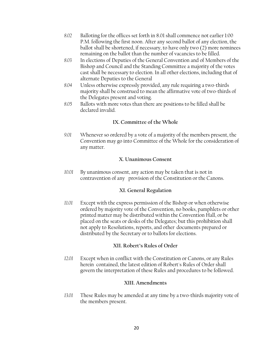- *8.02* Balloting for the offices set forth in 8.01 shall commence not earlier 1:00 P.M. following the first noon. After any second ballot of any election, the ballot shall be shortened, if necessary, to have only two (2) more nominees remaining on the ballot than the number of vacancies to be filled.
- *8.03* In elections of Deputies of the General Convention and of Members of the Bishop and Council and the Standing Committee a majority of the votes cast shall be necessary to election. In all other elections, including that of alternate Deputies to the General
- *8.04* Unless otherwise expressly provided, any rule requiring a two-thirds majority shall be construed to mean the affirmative vote of two-thirds of the Delegates present and voting.
- *8.05* Ballots with more votes than there are positions to be filled shall be declared invalid.

#### **IX. Committee of the Whole**

 *9.01* Whenever so ordered by a vote of a majority of the members present, the Convention may go into Committee of the Whole for the consideration of any matter.

#### **X. Unanimous Consent**

 *10.01* By unanimous consent, any action may be taken that is not in contravention of any provision of the Constitution or the Canons.

#### **XI. General Regulation**

 *11.01* Except with the express permission of the Bishop or when otherwise ordered by majority vote of the Convention, no books, pamphlets or other printed matter may be distributed within the Convention Hall, or be placed on the seats or desks of the Delegates; but this prohibition shall not apply to Resolutions, reports, and other documents prepared or distributed by the Secretary or to ballots for elections.

#### **XII. Robert's Rules of Order**

 *12.01* Except when in conflict with the Constitution or Canons, or any Rules herein contained, the latest edition of Robert's Rules of Order shall govern the interpretation of these Rules and procedures to be followed.

#### **XIII. Amendments**

 *13.01* These Rules may be amended at any time by a two-thirds majority vote of the members present.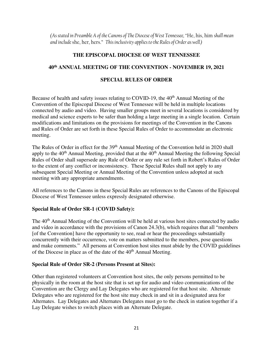*(As stated in Preamble A of the Canons of The Diocese of West Tennessee, "*He, his, him *shall mean and include* she, her, hers." *This inclusivity applies to the Rules of Order as well.)* 

#### **THE EPISCOPAL DIOCESE OF WEST TENNESSEE**

#### **40th ANNUAL MEETING OF THE CONVENTION - NOVEMBER 19, 2021**

#### **SPECIAL RULES OF ORDER**

Because of health and safety issues relating to COVID-19, the 40<sup>th</sup> Annual Meeting of the Convention of the Episcopal Diocese of West Tennessee will be held in multiple locations connected by audio and video. Having smaller groups meet in several locations is considered by medical and science experts to be safer than holding a large meeting in a single location. Certain modifications and limitations on the provisions for meetings of the Convention in the Canons and Rules of Order are set forth in these Special Rules of Order to accommodate an electronic meeting.

The Rules of Order in effect for the 39<sup>th</sup> Annual Meeting of the Convention held in 2020 shall apply to the  $40<sup>th</sup>$  Annual Meeting, provided that at the  $40<sup>th</sup>$  Annual Meeting the following Special Rules of Order shall supersede any Rule of Order or any rule set forth in Robert's Rules of Order to the extent of any conflict or inconsistency. These Special Rules shall not apply to any subsequent Special Meeting or Annual Meeting of the Convention unless adopted at such meeting with any appropriate amendments.

All references to the Canons in these Special Rules are references to the Canons of the Episcopal Diocese of West Tennessee unless expressly designated otherwise.

#### **Special Rule of Order SR-1 (COVID Safety):**

The 40<sup>th</sup> Annual Meeting of the Convention will be held at various host sites connected by audio and video in accordance with the provisions of Canon 24.3(b), which requires that all "members [of the Convention] have the opportunity to see, read or hear the proceedings substantially concurrently with their occurrence, vote on matters submitted to the members, pose questions and make comments." All persons at Convention host sites must abide by the COVID guidelines of the Diocese in place as of the date of the 40<sup>th</sup> Annual Meeting.

#### **Special Rule of Order SR-2 (Persons Present at Sites):**

Other than registered volunteers at Convention host sites, the only persons permitted to be physically in the room at the host site that is set up for audio and video communications of the Convention are the Clergy and Lay Delegates who are registered for that host site. Alternate Delegates who are registered for the host site may check in and sit in a designated area for Alternates. Lay Delegates and Alternates Delegates must go to the check in station together if a Lay Delegate wishes to switch places with an Alternate Delegate.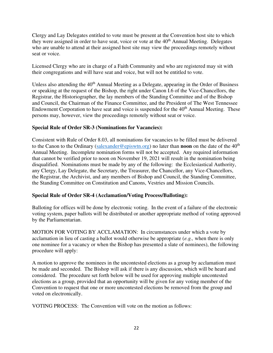Clergy and Lay Delegates entitled to vote must be present at the Convention host site to which they were assigned in order to have seat, voice or vote at the 40<sup>th</sup> Annual Meeting. Delegates who are unable to attend at their assigned host site may view the proceedings remotely without seat or voice.

Licensed Clergy who are in charge of a Faith Community and who are registered may sit with their congregations and will have seat and voice, but will not be entitled to vote.

Unless also attending the  $40<sup>th</sup>$  Annual Meeting as a Delegate, appearing in the Order of Business or speaking at the request of the Bishop, the right under Canon I.6 of the Vice-Chancellors, the Registrar, the Historiographer, the lay members of the Standing Committee and of the Bishop and Council, the Chairman of the Finance Committee, and the President of The West Tennessee Endowment Corporation to have seat and voice is suspended for the  $40<sup>th</sup>$  Annual Meeting. These persons may, however, view the proceedings remotely without seat or voice.

#### **Special Rule of Order SR-3 (Nominations for Vacancies):**

Consistent with Rule of Order 8.03, all nominations for vacancies to be filled must be delivered to the Canon to the Ordinary [\(salexander@episwtn.org\)](mailto:salexander@episwtn.org) no later than **noon** on the date of the 40th Annual Meeting. Incomplete nomination forms will not be accepted. Any required information that cannot be verified prior to noon on November 19, 2021 will result in the nomination being disqualified. Nominations must be made by any of the following: the Ecclesiastical Authority, any Clergy, Lay Delegate, the Secretary, the Treasurer, the Chancellor, any Vice-Chancellors, the Registrar, the Archivist, and any members of Bishop and Council, the Standing Committee, the Standing Committee on Constitution and Canons, Vestries and Mission Councils.

#### **Special Rule of Order SR-4 (Acclamation/Voting Process/Balloting):**

Balloting for offices will be done by electronic voting. In the event of a failure of the electronic voting system, paper ballots will be distributed or another appropriate method of voting approved by the Parliamentarian.

MOTION FOR VOTING BY ACCLAMATION: In circumstances under which a vote by acclamation in lieu of casting a ballot would otherwise be appropriate (*e.g.,* when there is only one nominee for a vacancy or when the Bishop has presented a slate of nominees), the following procedure will apply:

A motion to approve the nominees in the uncontested elections as a group by acclamation must be made and seconded. The Bishop will ask if there is any discussion, which will be heard and considered. The procedure set forth below will be used for approving multiple uncontested elections as a group, provided that an opportunity will be given for any voting member of the Convention to request that one or more uncontested elections be removed from the group and voted on electronically.

VOTING PROCESS: The Convention will vote on the motion as follows: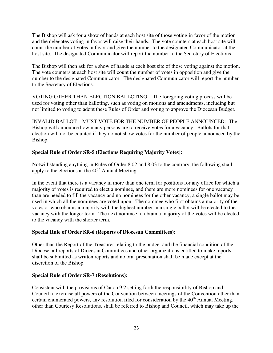The Bishop will ask for a show of hands at each host site of those voting in favor of the motion and the delegates voting in favor will raise their hands. The vote counters at each host site will count the number of votes in favor and give the number to the designated Communicator at the host site. The designated Communicator will report the number to the Secretary of Elections.

The Bishop will then ask for a show of hands at each host site of those voting against the motion. The vote counters at each host site will count the number of votes in opposition and give the number to the designated Communicator. The designated Communicator will report the number to the Secretary of Elections.

VOTING OTHER THAN ELECTION BALLOTING: The foregoing voting process will be used for voting other than balloting, such as voting on motions and amendments, including but not limited to voting to adopt these Rules of Order and voting to approve the Diocesan Budget.

INVALID BALLOT – MUST VOTE FOR THE NUMBER OF PEOPLE ANNOUNCED: The Bishop will announce how many persons are to receive votes for a vacancy. Ballots for that election will not be counted if they do not show votes for the number of people announced by the Bishop.

#### **Special Rule of Order SR-5 (Elections Requiring Majority Votes):**

Notwithstanding anything in Rules of Order 8.02 and 8.03 to the contrary, the following shall apply to the elections at the  $40<sup>th</sup>$  Annual Meeting.

In the event that there is a vacancy in more than one term for positions for any office for which a majority of votes is required to elect a nominee, and there are more nominees for one vacancy than are needed to fill the vacancy and no nominees for the other vacancy, a single ballot may be used in which all the nominees are voted upon. The nominee who first obtains a majority of the votes or who obtains a majority with the highest number in a single ballot will be elected to the vacancy with the longer term. The next nominee to obtain a majority of the votes will be elected to the vacancy with the shorter term.

#### **Special Rule of Order SR-6 (Reports of Diocesan Committees):**

Other than the Report of the Treasurer relating to the budget and the financial condition of the Diocese, all reports of Diocesan Committees and other organizations entitled to make reports shall be submitted as written reports and no oral presentation shall be made except at the discretion of the Bishop.

#### **Special Rule of Order SR-7 (Resolutions):**

Consistent with the provisions of Canon 9.2 setting forth the responsibility of Bishop and Council to exercise all powers of the Convention between meetings of the Convention other than certain enumerated powers, any resolution filed for consideration by the  $40<sup>th</sup>$  Annual Meeting, other than Courtesy Resolutions, shall be referred to Bishop and Council, which may take up the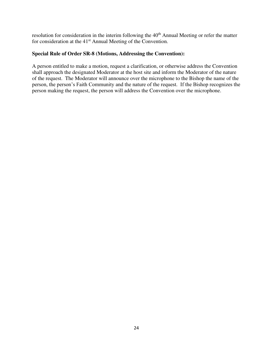resolution for consideration in the interim following the 40<sup>th</sup> Annual Meeting or refer the matter for consideration at the 41<sup>st</sup> Annual Meeting of the Convention.

#### **Special Rule of Order SR-8 (Motions, Addressing the Convention):**

A person entitled to make a motion, request a clarification, or otherwise address the Convention shall approach the designated Moderator at the host site and inform the Moderator of the nature of the request. The Moderator will announce over the microphone to the Bishop the name of the person, the person's Faith Community and the nature of the request. If the Bishop recognizes the person making the request, the person will address the Convention over the microphone.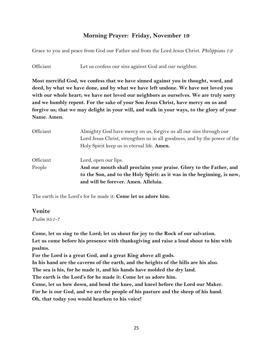# **Morning Prayer: Friday, November 19**

Grace to you and peace from God our Father and from the Lord Jesus Christ. *Philippians 1:2*

Officiant Let us confess our sins against God and our neighbor.

**Most merciful God, we confess that we have sinned against you in thought, word, and deed, by what we have done, and by what we have left undone. We have not loved you with our whole heart; we have not loved our neighbors as ourselves. We are truly sorry and we humbly repent. For the sake of your Son Jesus Christ, have mercy on us and forgive us; that we may delight in your will, and walk in your ways, to the glory of your Name. Amen.** 

| Officiant | Almighty God have mercy on us, forgive us all our sins through our<br>Lord Jesus Christ, strengthen us in all goodness, and by the power of the                                       |
|-----------|---------------------------------------------------------------------------------------------------------------------------------------------------------------------------------------|
|           | Holy Spirit keep us in eternal life. Amen.                                                                                                                                            |
| Officiant | Lord, open our lips.                                                                                                                                                                  |
| People    | And our mouth shall proclaim your praise. Glory to the Father, and<br>to the Son, and to the Holy Spirit: as it was in the beginning, is now,<br>and will be forever. Amen. Alleluia. |

The earth is the Lord's for he made it: **Come let us adore him.** 

## **Venite**

*Psalm 95:1-7*

**Come, let us sing to the Lord; let us shout for joy to the Rock of our salvation. Let us come before his presence with thanksgiving and raise a loud shout to him with psalms.** 

**For the Lord is a great God, and a great King above all gods.** 

**In his hand are the caverns of the earth, and the heights of the hills are his also.** 

**The sea is his, for he made it, and his hands have molded the dry land.** 

**The earth is the Lord's for he made it: Come let us adore him.** 

**Come, let us bow down, and bend the knee, and kneel before the Lord our Maker.** 

**For he is our God, and we are the people of his pasture and the sheep of his hand.** 

**Oh, that today you would hearken to his voice!**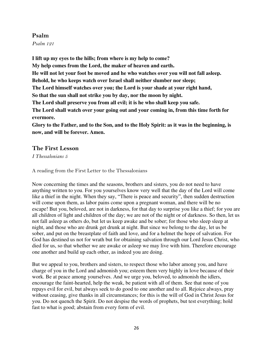#### **Psalm**

*Psalm 121* 

**I lift up my eyes to the hills; from where is my help to come? My help comes from the Lord, the maker of heaven and earth***.*  **He will not let your foot be moved and he who watches over you will not fall asleep. Behold, he who keeps watch over Israel shall neither slumber nor sleep; The Lord himself watches over you; the Lord is your shade at your right hand, So that the sun shall not strike you by day, nor the moon by night. The Lord shall preserve you from all evil; it is he who shall keep you safe. The Lord shall watch over your going out and your coming in, from this time forth for evermore.** 

**Glory to the Father, and to the Son, and to the Holy Spirit: as it was in the beginning, is now, and will be forever. Amen.** 

#### **The First Lesson**

*I Thessalonians 5* 

A reading from the First Letter to the Thessalonians

Now concerning the times and the seasons, brothers and sisters, you do not need to have anything written to you. For you yourselves know very well that the day of the Lord will come like a thief in the night. When they say, "There is peace and security", then sudden destruction will come upon them, as labor pains come upon a pregnant woman, and there will be no escape! But you, beloved, are not in darkness, for that day to surprise you like a thief; for you are all children of light and children of the day; we are not of the night or of darkness. So then, let us not fall asleep as others do, but let us keep awake and be sober; for those who sleep sleep at night, and those who are drunk get drunk at night. But since we belong to the day, let us be sober, and put on the breastplate of faith and love, and for a helmet the hope of salvation. For God has destined us not for wrath but for obtaining salvation through our Lord Jesus Christ, who died for us, so that whether we are awake or asleep we may live with him. Therefore encourage one another and build up each other, as indeed you are doing.

But we appeal to you, brothers and sisters, to respect those who labor among you, and have charge of you in the Lord and admonish you; esteem them very highly in love because of their work. Be at peace among yourselves. And we urge you, beloved, to admonish the idlers, encourage the faint-hearted, help the weak, be patient with all of them. See that none of you repays evil for evil, but always seek to do good to one another and to all. Rejoice always, pray without ceasing, give thanks in all circumstances; for this is the will of God in Christ Jesus for you. Do not quench the Spirit. Do not despise the words of prophets, but test everything; hold fast to what is good; abstain from every form of evil.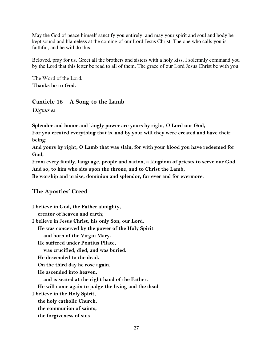May the God of peace himself sanctify you entirely; and may your spirit and soul and body be kept sound and blameless at the coming of our Lord Jesus Christ. The one who calls you is faithful, and he will do this.

Beloved, pray for us. Greet all the brothers and sisters with a holy kiss. I solemnly command you by the Lord that this letter be read to all of them. The grace of our Lord Jesus Christ be with you.

The Word of the Lord. **Thanks be to God.**

## **Canticle 18 A Song to the Lamb**

*Dignus es*

**Splendor and honor and kingly power are yours by right, O Lord our God,** 

**For you created everything that is, and by your will they were created and have their being;** 

**And yours by right, O Lamb that was slain, for with your blood you have redeemed for God,** 

**From every family, language, people and nation, a kingdom of priests to serve our God. And so, to him who sits upon the throne, and to Christ the Lamb,** 

**Be worship and praise, dominion and splendor, for ever and for evermore.** 

# **The Apostles' Creed**

**I believe in God, the Father almighty, creator of heaven and earth; I believe in Jesus Christ, his only Son, our Lord. He was conceived by the power of the Holy Spirit and born of the Virgin Mary. He suffered under Pontius Pilate, was crucified, died, and was buried. He descended to the dead. On the third day he rose again. He ascended into heaven, and is seated at the right hand of the Father. He will come again to judge the living and the dead. I believe in the Holy Spirit, the holy catholic Church, the communion of saints, the forgiveness of sins**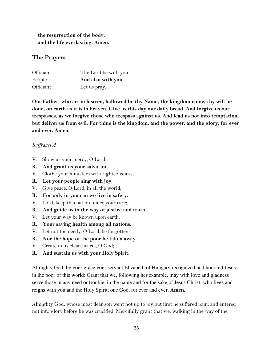**the resurrection of the body, and the life everlasting. Amen.** 

## **The Prayers**

| Officiant | The Lord be with you. |
|-----------|-----------------------|
| People    | And also with you.    |
| Officiant | Let us pray.          |

**Our Father, who art in heaven, hallowed be thy Name, thy kingdom come, thy will be done, on earth as it is in heaven. Give us this day our daily bread. And forgive us our trespasses, as we forgive those who trespass against us. And lead us not into temptation, but deliver us from evil. For thine is the kingdom, and the power, and the glory, for ever and ever. Amen.** 

#### *Suffrages A*

- V. Show us your mercy, O Lord;
- **R. And grant us your salvation.**
- V. Clothe your ministers with righteousness;
- **R. Let your people sing with joy.**
- V. Give peace, O Lord, in all the world;
- **R. For only in you can we live in safety.**
- V. Lord, keep this nation under your care;
- **R. And guide us in the way of justice and truth.**
- V. Let your way be known upon earth;
- **R. Your saving health among all nations.**
- V. Let not the needy, O Lord, be forgotten;
- **R. Nor the hope of the poor be taken away.**
- V. Create in us clean hearts, O God;
- **R. And sustain us with your Holy Spirit.**

Almighty God, by your grace your servant Elizabeth of Hungary recognized and honored Jesus in the poor of this world: Grant that we, following her example, may with love and gladness serve those in any need or trouble, in the name and for the sake of Jesus Christ; who lives and reigns with you and the Holy Spirit, one God, for ever and ever. **Amen.** 

Almighty God, whose most dear son went not up to joy but first he suffered pain, and entered not into glory before he was crucified: Mercifully grant that we, walking in the way of the